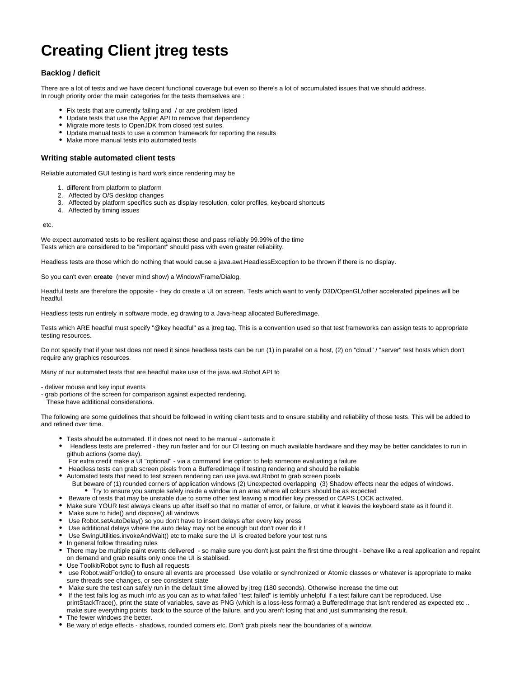## **Creating Client jtreg tests**

## **Backlog / deficit**

There are a lot of tests and we have decent functional coverage but even so there's a lot of accumulated issues that we should address. In rough priority order the main categories for the tests themselves are :

- Fix tests that are currently failing and / or are problem listed
- Update tests that use the Applet API to remove that dependency
- $\bullet$  Migrate more tests to OpenJDK from closed test suites.
- Update manual tests to use a common framework for reporting the results
- Make more manual tests into automated tests

## **Writing stable automated client tests**

Reliable automated GUI testing is hard work since rendering may be

- 1. different from platform to platform
- 2. Affected by O/S desktop changes
- 3. Affected by platform specifics such as display resolution, color profiles, keyboard shortcuts
- 4. Affected by timing issues

etc.

We expect automated tests to be resilient against these and pass reliably 99.99% of the time Tests which are considered to be "important" should pass with even greater reliability.

Headless tests are those which do nothing that would cause a java.awt.HeadlessException to be thrown if there is no display.

So you can't even **create** (never mind show) a Window/Frame/Dialog.

Headful tests are therefore the opposite - they do create a UI on screen. Tests which want to verify D3D/OpenGL/other accelerated pipelines will be headful.

Headless tests run entirely in software mode, eg drawing to a Java-heap allocated BufferedImage.

Tests which ARE headful must specify "@key headful" as a jtreg tag. This is a convention used so that test frameworks can assign tests to appropriate testing resources.

Do not specify that if your test does not need it since headless tests can be run (1) in parallel on a host, (2) on "cloud" / "server" test hosts which don't require any graphics resources.

Many of our automated tests that are headful make use of the java.awt.Robot API to

- deliver mouse and key input events
- grab portions of the screen for comparison against expected rendering.

These have additional considerations.

The following are some guidelines that should be followed in writing client tests and to ensure stability and reliability of those tests. This will be added to and refined over time.

- Tests should be automated. If it does not need to be manual automate it
- Headless tests are preferred they run faster and for our CI testing on much available hardware and they may be better candidates to run in github actions (some day).
- For extra credit make a UI "optional" via a command line option to help someone evaluating a failure
- Headless tests can grab screen pixels from a BufferedImage if testing rendering and should be reliable
- Automated tests that need to test screen rendering can use java.awt.Robot to grab screen pixels But beware of (1) rounded corners of application windows (2) Unexpected overlapping (3) Shadow effects near the edges of windows. Try to ensure you sample safely inside a window in an area where all colours should be as expected
- Beware of tests that may be unstable due to some other test leaving a modifier key pressed or CAPS LOCK activated.
- Make sure YOUR test always cleans up after itself so that no matter of error, or failure, or what it leaves the keyboard state as it found it.
- Make sure to hide() and dispose() all windows
- Use Robot.setAutoDelay() so you don't have to insert delays after every key press
- Use additional delays where the auto delay may not be enough but don't over do it !
- Use SwingUtilities.invokeAndWait() etc to make sure the UI is created before your test runs
- In general follow threading rules
- There may be multiple paint events delivered so make sure you don't just paint the first time throught behave like a real application and repaint on demand and grab results only once the UI is stablised.
- Use Toolkit/Robot sync to flush all requests
- use Robot.waitForIdle() to ensure all events are processed Use volatile or synchronized or Atomic classes or whatever is appropriate to make sure threads see changes, or see consistent state
- Make sure the test can safely run in the default time allowed by jtreg (180 seconds). Otherwise increase the time out
- If the test fails log as much info as you can as to what failed "test failed" is terribly unhelpful if a test failure can't be reproduced. Use printStackTrace(), print the state of variables, save as PNG (which is a loss-less format) a BufferedImage that isn't rendered as expected etc.. make sure everything points back to the source of the failure, and you aren't losing that and just summarising the result.
- The fewer windows the better.
- Be wary of edge effects shadows, rounded corners etc. Don't grab pixels near the boundaries of a window.